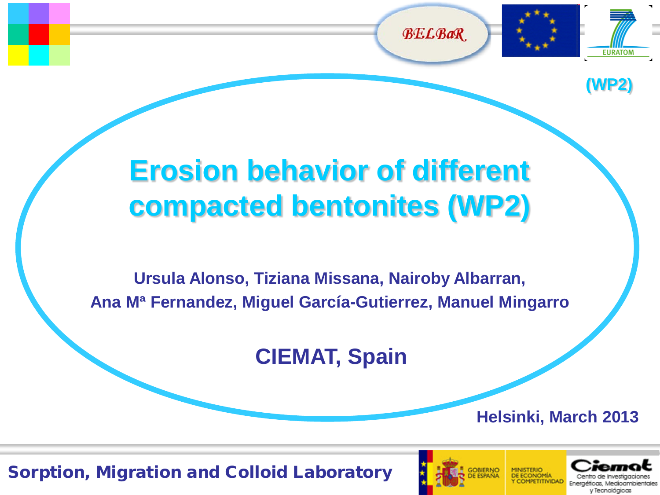



**(WP2)**

## **Erosion behavior of different compacted bentonites (WP2)**

**Ursula Alonso, Tiziana Missana, Nairoby Albarran, Ana Mª Fernandez, Miguel García-Gutierrez, Manuel Mingarro**

**CIEMAT, Spain**

**Helsinki, March 2013**



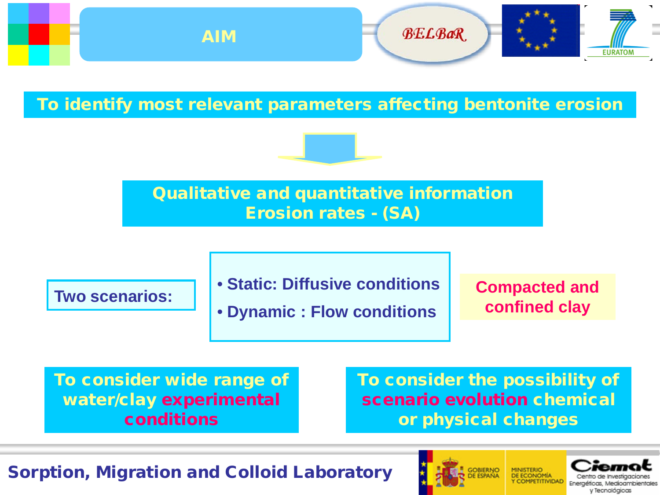

To identify most relevant parameters affecting bentonite erosion



Qualitative and quantitative information Erosion rates - (SA)

• **Static: Diffusive conditions**

**rive scenarios:**<br>
• Dynamic : Flow conditions confined clay

**Compacted and** 

To consider wide range of water/clay experimental conditions

To consider the possibility of scenario evolution chemical or physical changes



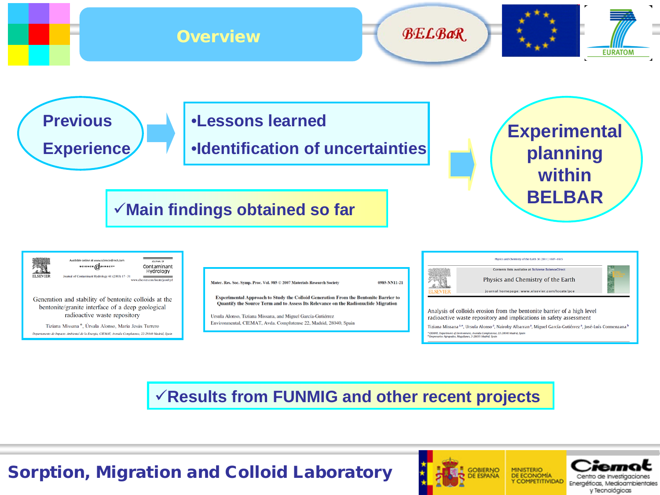

**Results from FUNMIG and other recent projects**



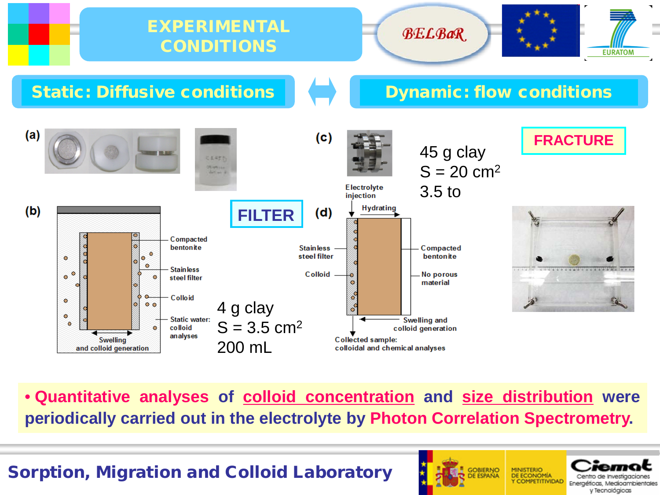

• **Quantitative analyses of colloid concentration and size distribution were periodically carried out in the electrolyte by Photon Correlation Spectrometry.**

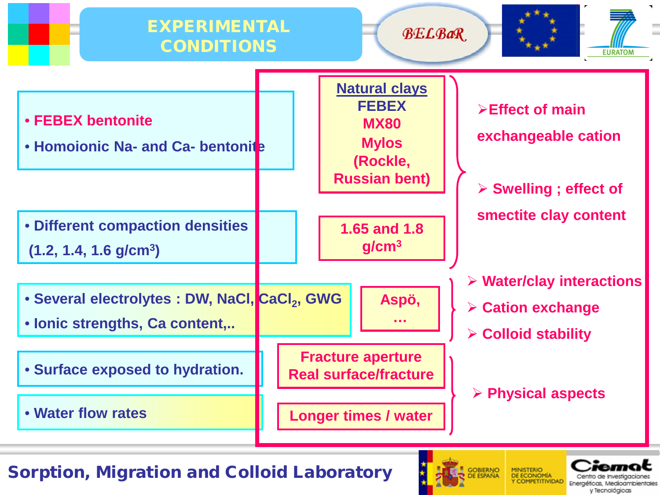



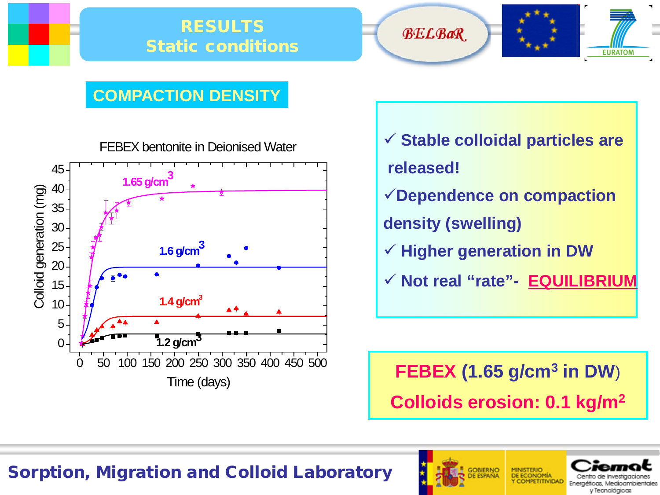





#### **COMPACTION DENSITY**



- **Stable colloidal particles are released!**
- **Dependence on compaction**
- **density (swelling)**
- **Higher generation in DW**
- **Not real "rate"- EQUILIBRIUM**

**FEBEX (1.65 g/cm3 in DW**) **Colloids erosion: 0.1 kg/m2**

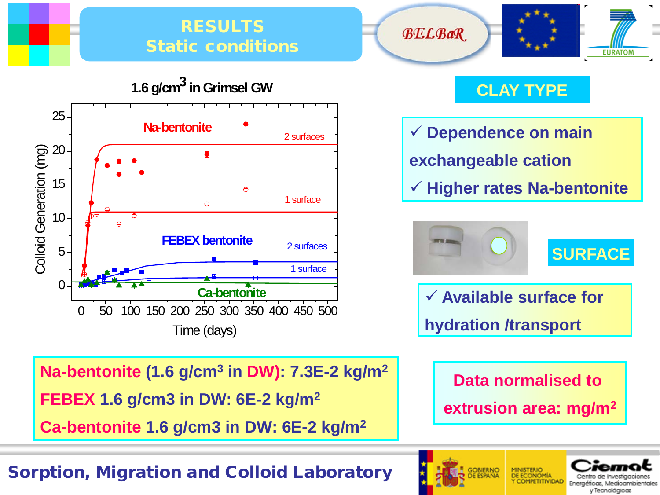#### RESULTS Static conditions



**1.6 g/cm3 in Grimsel GW**

**CLAY TYPE**

**BELBaR** 

 **Dependence on main exchangeable cation Higher rates Na-bentonite**



 **Available surface for hydration /transport**

**Na-bentonite (1.6 g/cm3 in DW): 7.3E-2 kg/m2 FEBEX 1.6 g/cm3 in DW: 6E-2 kg/m2 Ca-bentonite 1.6 g/cm3 in DW: 6E-2 kg/m2**

#### Sorption, Migration and Colloid Laboratory







**EURATOM**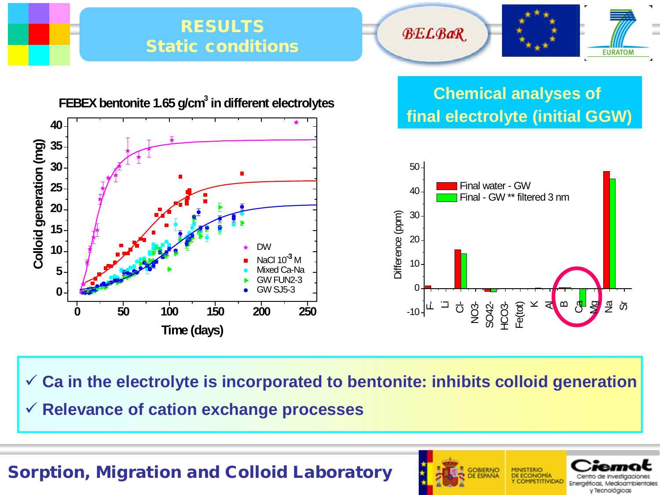

**Ca in the electrolyte is incorporated to bentonite: inhibits colloid generation**

**Relevance of cation exchange processes**

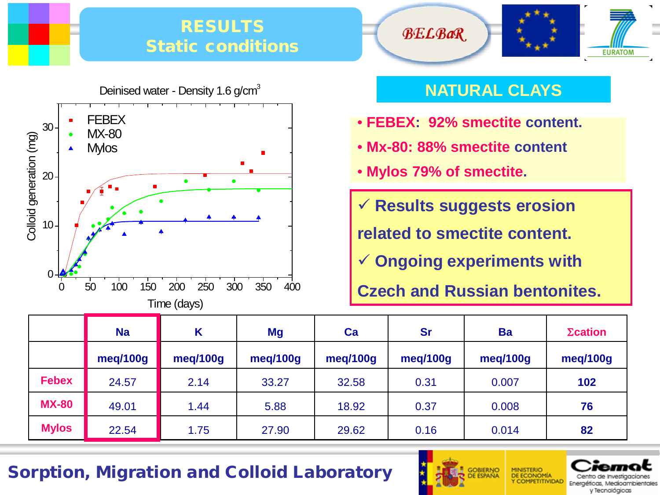#### RESULTS Static conditions



# **BELBaR EURATOM**

#### **NATURAL CLAYS**

- **FEBEX: 92% smectite content.**
- **Mx-80: 88% smectite content**
- **Mylos 79% of smectite.**
- **Results suggests erosion**

**related to smectite content.**

**Ongoing experiments with**

**Czech and Russian bentonites. Czech and Russian bentonites.** 

|              | <b>Na</b> | Κ        | <b>Mg</b> | Ca       | <b>Sr</b> | <b>Ba</b> | $\Sigma$ cation |
|--------------|-----------|----------|-----------|----------|-----------|-----------|-----------------|
|              | meg/100g  | meg/100g | meg/100g  | meg/100g | meg/100g  | meq/100g  | meg/100g        |
| <b>Febex</b> | 24.57     | 2.14     | 33.27     | 32.58    | 0.31      | 0.007     | 102             |
| <b>MX-80</b> | 49.01     | 1.44     | 5.88      | 18.92    | 0.37      | 0.008     | 76              |
| <b>Mylos</b> | 22.54     | 1.75     | 27.90     | 29.62    | 0.16      | 0.014     | 82              |



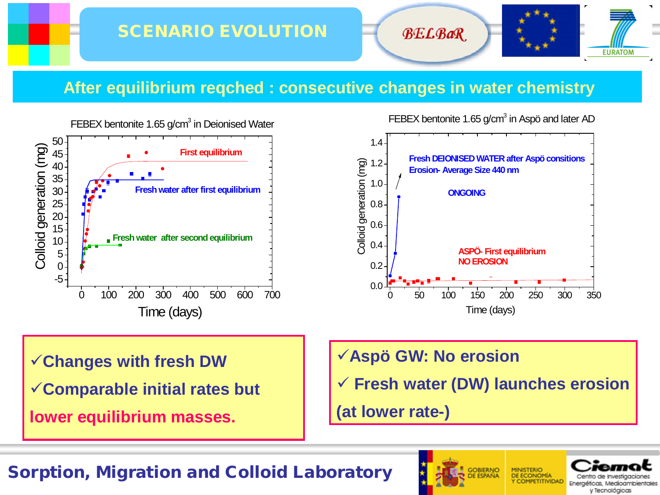**BELBaR** 



#### **After equilibrium reqched : consecutive changes in water chemistry**



FEBEX bentonite 1.65  $g/cm<sup>3</sup>$  in Aspö and later AD



**Changes with fresh DW**

**Comparable initial rates but**

**lower equilibrium masses.**

**Aspö GW: No erosion**

**Fresh water (DW) launches erosion**

**(at lower rate-)**



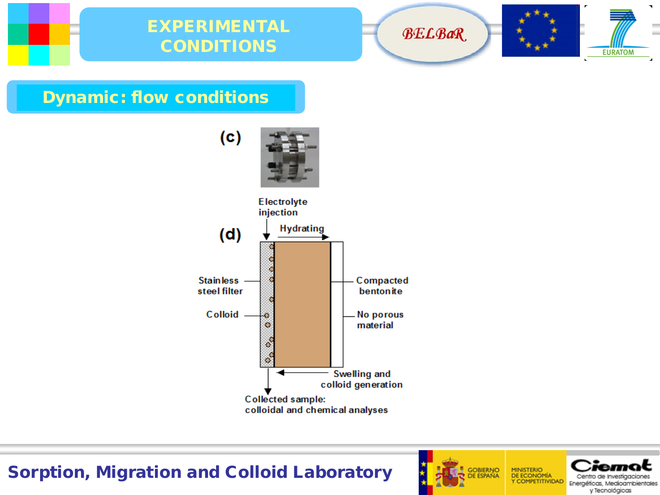







 $\blacksquare$ 

 $\sim$ 

 $\sim$ 

Dynamic: flow conditions



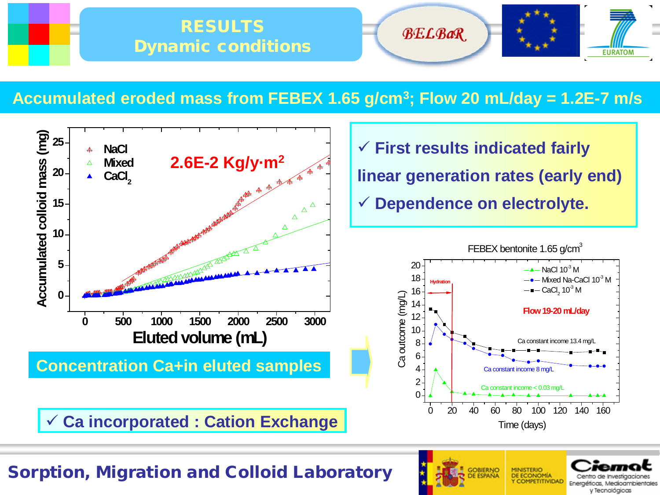

#### **Accumulated eroded mass from FEBEX 1.65 g/cm3; Flow 20 mL/day = 1.2E-7 m/s**



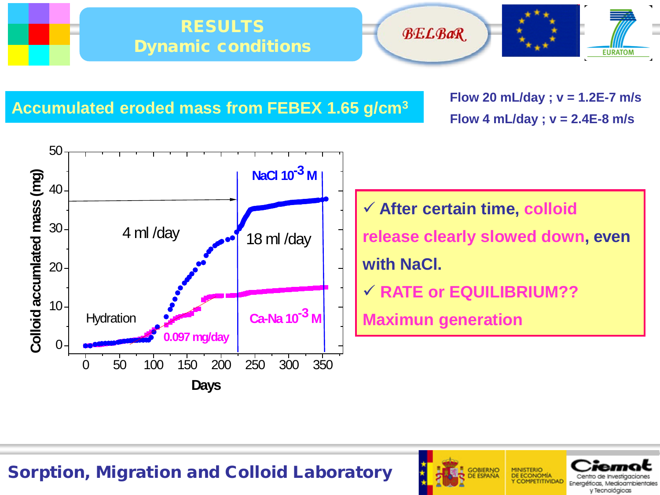





**Accumulated eroded mass from FEBEX 1.65 g/cm3**

**Flow 20 mL/day ; v = 1.2E-7 m/s Flow 4 mL/day ; v = 2.4E-8 m/s** 



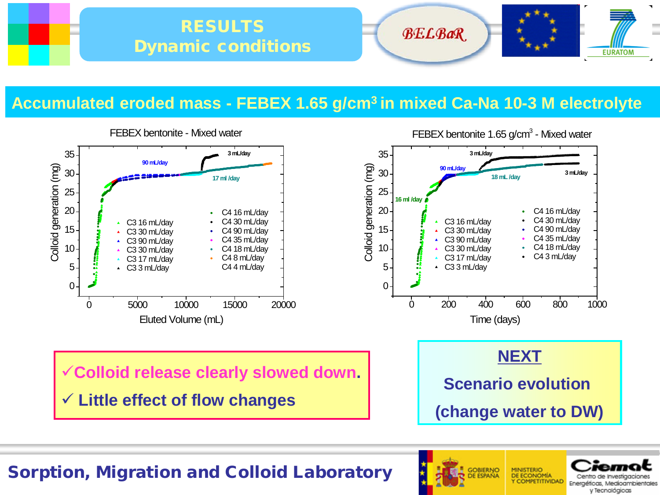

#### **Accumulated eroded mass - FEBEX 1.65 g/cm3 in mixed Ca-Na 10-3 M electrolyte**





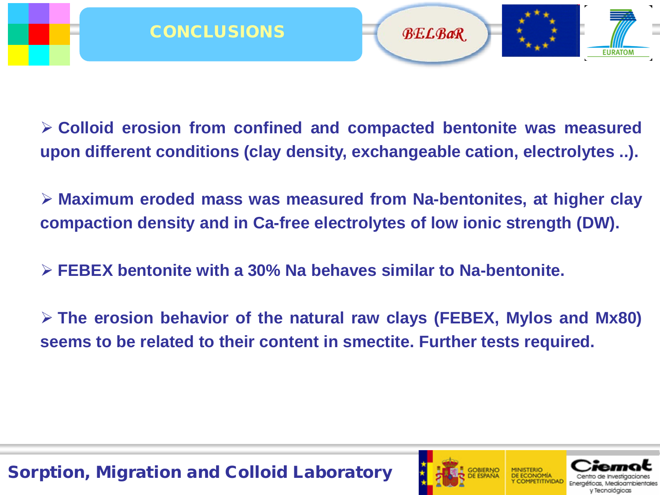**Colloid erosion from confined and compacted bentonite was measured upon different conditions (clay density, exchangeable cation, electrolytes ..).**

 **Maximum eroded mass was measured from Na-bentonites, at higher clay compaction density and in Ca-free electrolytes of low ionic strength (DW).**

**FEBEX bentonite with a 30% Na behaves similar to Na-bentonite.**

 **The erosion behavior of the natural raw clays (FEBEX, Mylos and Mx80) seems to be related to their content in smectite. Further tests required.**